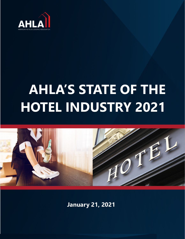

# **HOTEL INDUSTRY 2021 AHLA'S STATE OF THE**



**January 21, 2021**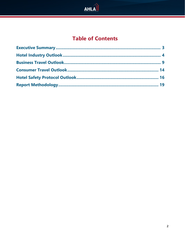

# **Table of Contents**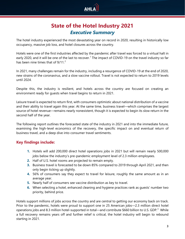

## **State of the Hotel Industry 2021** *Executive Summary*

<span id="page-2-0"></span>The hotel industry experienced the most devastating year on record in 2020, resulting in historically low occupancy, massive job loss, and hotel closures across the country.

Hotels were one of the first industries affected by the pandemic after travel was forced to a virtual halt in early 2020, and it will be one of the last to recover.<sup>[1](#page-18-1)</sup> The impact of COVID-19 on the travel industry so far has been nine times that of  $9/11<sup>2</sup>$  $9/11<sup>2</sup>$  $9/11<sup>2</sup>$ 

In 2021, many challenges remain for the industry, including a resurgence of COVID-19 at the end of 2020, new strains of the coronavirus, and a slow vaccine rollout. Travel is not expected to return to 2019 levels until 2024.

Despite this, the industry is resilient, and hotels across the country are focused on creating an environment ready for guests when travel begins to return in 2021.

Leisure travel is expected to return first, with consumers optimistic about national distribution of a vaccine and their ability to travel again this year. At the same time, business travel—which comprises the largest source of hotel revenue—remains nearly nonexistent, though it is expected to begin its slow return in the second half of the year.

The following report outlines the forecasted state of the industry in 2021 and into the immediate future, examining the high-level economics of the recovery, the specific impact on and eventual return of business travel, and a deep dive into consumer travel sentiments.

#### **Key findings include:**

- **1.** Hotels will add 200,000 direct hotel operations jobs in 2021 but will remain nearly 500,000 jobs below the industry's pre-pandemic employment level of 2.3 million employees.
- **2.** Half of U.S. hotel rooms are projected to remain empty.
- **3.** Business travel is forecasted to be down 85% compared to 2019 through April 2021, and then only begin ticking up slightly.
- **4.** 56% of consumers say they expect to travel for leisure, roughly the same amount as in an average year.
- **5.** Nearly half of consumers see vaccine distribution as key to travel.
- **6.** When selecting a hotel, enhanced cleaning and hygiene practices rank as guests' number two priority, behind price.

Hotels support millions of jobs across the country and are central to getting our economy back on track. Prior to the pandemic, hotels were proud to support one in 25 American jobs—2.3 million direct hotel operations jobs and 8.[3](#page-18-3) million hotel-supported in total—and contribute \$660 billion to U.S. GDP.<sup>3</sup> While a full recovery remains years off and further relief is critical, the hotel industry will begin to rebound starting in 2021.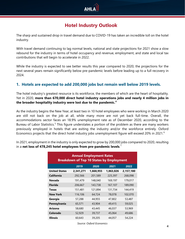

## **Hotel Industry Outlook**

<span id="page-3-0"></span>The sharp and sustained drop in travel demand due to COVID-19 has taken an incredible toll on the hotel industry.

With travel demand continuing to lag normal levels, national and state projections for 2021 show a slow rebound for the industry in terms of hotel occupancy and revenue, employment, and state and local tax contributions that will begin to accelerate in 2022.

While the industry is expected to see better results this year compared to 2020, the projections for the next several years remain significantly below pre-pandemic levels before leading up to a full recovery in 2024.

#### **1. Hotels are expected to add 200,000 jobs but remain well below 2019 levels.**

The hotel industry's greatest resource is its workforce, the members of which are the heart of hospitality. Yet in 2020, **more than 670,000 direct hotel industry operations jobs and nearly 4 million jobs in the broader hospitality industry were lost due to the pandemic. [4](#page-18-4)**

As the industry begins the New Year, at least two in 10 hotel employees who were working in March 2020 are still not back on the job at all, while many more are not yet back full-time. Overall, the accommodations sector faces an 18.9% unemployment rate as of December 2020, according to the Bureau of Labor Statistics.<sup>[5](#page-18-5)</sup> This figure understates a portion of the problem as there are many workers previously employed in hotels that are exiting the industry and/or the workforce entirely. Oxford Economics projects that the direct hotel industry jobs unemployment figure will exceed 20% in 2021.<sup>[6](#page-18-6)</sup>

In 2021, employment in the industry is only expected to grow by 200,000 jobs compared to 2020, resulting in a **net loss of 478,245 hotel employees from pre-pandemic levels**. [7](#page-18-7)

| <b>Annual Employment Rates</b><br><b>Breakdown of Top 10 States by Employment</b> |           |           |           |           |
|-----------------------------------------------------------------------------------|-----------|-----------|-----------|-----------|
|                                                                                   | 2019      | 2020      | 2021      | 2022      |
| <b>United States</b>                                                              | 2,341,271 | 1,668,955 | 1,863,026 | 2,157,180 |
| <b>California</b>                                                                 | 292,566   | 201,589   | 225,397   | 268,098   |
| Nevada                                                                            | 191,479   | 148,040   | 169,197   | 179,017   |
| <b>Florida</b>                                                                    | 206,667   | 143,738   | 167,107   | 189,090   |
| <b>Texas</b>                                                                      | 151,481   | 121,894   | 131,734   | 144,419   |
| <b>New York</b>                                                                   | 116,106   | 64,724    | 78,078    | 102,070   |
| Georgia                                                                           | 57,288    | 44,955    | 47,802    | 53,487    |
| Pennsylvania                                                                      | 65,571    | 43,904    | 49,415    | 59,025    |
| Arizona                                                                           | 58,680    | 43,445    | 46,037    | 53,969    |
| Colorado                                                                          | 52,929    | 39,737    | 45,064    | 49,686    |
| <b>Illinois</b>                                                                   | 60,643    | 39,205    | 44,057    | 54,224    |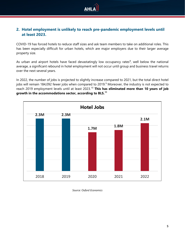

#### **2. Hotel employment is unlikely to reach pre-pandemic employment levels until at least 2023.**

COVID-19 has forced hotels to reduce staff sizes and ask team members to take on additional roles. This has been especially difficult for urban hotels, which are major employers due to their larger average property size.

As urban and airport hotels have faced devastatingly low occupancy rates $^8$  $^8$ , well below the national average, a significant rebound in hotel employment will not occur until group and business travel returns over the next several years.

In 2022, the number of jobs is projected to slightly increase compared to 2021, but the total direct hotel jobs will remain 184,0[9](#page-18-9)2 fewer jobs when compared to 2019.<sup>9</sup> Moreover, the industry is not expected to reach 2019 employment levels until at least 2023.[10](#page-18-10) **This has eliminated more than 10 years of job growth in the accommodations sector, according to BLS. [11](#page-18-11)**



*Source: Oxford Economics*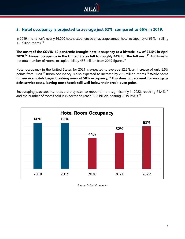

#### **3. Hotel occupancy is projected to average just 52%, compared to 66% in 2019.**

In 2019, the nation's nearly 56,000 hotels experienced an average annual hotel occupancy of 66%, <sup>[12](#page-18-12)</sup> selling 1.3 billion rooms. [13](#page-18-13)

**The onset of the COVID-19 pandemic brought hotel occupancy to a historic low of 24.5% in April 2020.[14](#page-18-14) Annual occupancy in the United States fell to roughly 44% for the full year.[15](#page-18-15)** Additionally, the total number of rooms occupied fell by 458 million from 2019 figures. [16](#page-18-16)

Hotel occupancy in the United States for 2021 is expected to average 52.5%, an increase of only 8.5% points from 2020. [17](#page-18-17) Room occupancy is also expected to increase by 208 million rooms. [18](#page-18-18) **While some full-service hotels begin breaking even at 50% occupancy, [19](#page-18-19) this does not account for mortgage debt service costs, leaving most hotels still well below their break-even point.**

Encouragingly, occupancy rates are projected to rebound more significantly in [20](#page-18-20)22, reaching 61.4%, 20 and the number of rooms sold is expected to reach 1.23 billion, nearing 2019 levels. $^{21}$  $^{21}$  $^{21}$ 



*Source: Oxford Economics*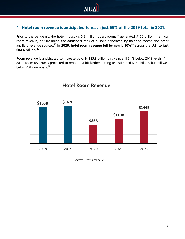

#### **4. Hotel room revenue is anticipated to reach just 65% of the 2019 total in 2021.**

Prior to the pandemic, the hotel industry's 5.3 million quest rooms<sup>[22](#page-18-22)</sup> generated \$168 billion in annual room revenue, not including the additional tens of billions generated by meeting rooms and other ancillary revenue sources. [23](#page-18-23) **In 2020, hotel room revenue fell by nearly 50%[24](#page-18-24) across the U.S. to just \$84.6 billion. [25](#page-18-25)**

Room revenue is anticipated to increase by only \$25.9 billion this year, still 34% below 2019 levels.<sup>[26](#page-18-26)</sup> In 2022, room revenue is projected to rebound a bit further, hitting an estimated \$144 billion, but still well below 2019 numbers.<sup>[27](#page-19-0)</sup>



*Source: Oxford Economics*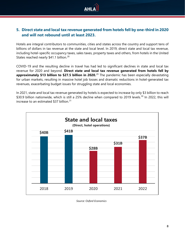

#### **5. Direct state and local tax revenue generated from hotels fell by one-third in 2020 and will not rebound until at least 2023.**

Hotels are integral contributors to communities, cities and states across the country and support tens of billions of dollars in tax revenue at the state and local level. In 2019, direct state and local tax revenue, including hotel-specific occupancy taxes, sales taxes, property taxes and others, from hotels in the United States reached nearly \$41.1 billion.<sup>[28](#page-19-1)</sup>

COVID-19 and the resulting decline in travel has had led to significant declines in state and local tax revenue for 2020 and beyond. **Direct state and local tax revenue generated from hotels fell by approximately \$13 billion to \$27.5 billion in 2020.**[29](#page-19-2) The pandemic has been especially devastating for urban markets, resulting in massive hotel job losses and dramatic reductions in hotel-generated tax revenues, exacerbating budget issues for struggling state and local economies.

In 2021, state and local tax revenue generated by hotels is expected to increase by only \$3 billion to reach \$[30](#page-19-3).9 billion nationwide, which is still a 25% decline when compared to 2019 levels.<sup>30</sup> In 2022, this will increase to an estimated \$37 billion. $31$ 



*Source: Oxford Economics*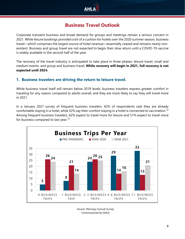

## **Business Travel Outlook**

<span id="page-8-0"></span>Corporate transient business and broad demand for groups and meetings remain a serious concern in 2021. While leisure bookings provided a bit of a cushion for hotels over the 2020 summer season, business travel—which comprises the largest source of hotel revenue—essentially ceased and remains nearly nonexistent. Business and group travel are not expected to begin their slow return until a COVID-19 vaccine is widely available in the second half of the year.

The recovery of the travel industry is anticipated to take place in three phases: leisure travel, small and medium events, and group and business travel. **While recovery will begin in 2021, full recovery is not expected until 2024.**

#### **1. Business travelers are driving the return to leisure travel.**

While business travel itself will remain below 2019 levels, business travelers express greater comfort in traveling for any reason compared to adults overall, and they are more likely to say they will travel more in 2021.

In a January 2021 survey of frequent business travelers, 42% of respondents said they are already comfortable staying in a hotel, while 52% say their comfort staying in a hotel is connected to vaccination.<sup>[32](#page-19-5)</sup> Among frequent business travelers, 62% expect to travel more for leisure and 51% expect to travel more for business compared to last year. $33$ 



*Source: Morning Consult Survey Commissioned by AHLA*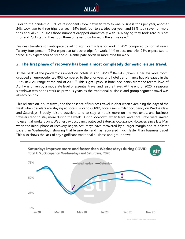

Prior to the pandemic, 13% of respondents took between zero to one business trips per year, another 24% took two to three trips per year, 29% took four to six trips per year, and 33% took seven or more trips annually.<sup>[34](#page-19-7)</sup> In 2020 those numbers dropped dramatically with 26% saying they took zero busines trips and 73% stating they took three or fewer trips for work the entire year.<sup>[35](#page-19-8)</sup>

Business travelers still anticipate traveling significantly less for work in 2021 compared to normal years. Twenty-four percent (24%) expect to take zero trips for work, 14% expect one trip, 25% expect two to three, 16% expect four to six and 21% anticipate seven or more trips for work.

#### **2. The first phase of recovery has been almost completely domestic leisure travel.**

At the peak of the pandemic's impact on hotels in April 2020, [36](#page-19-9) RevPAR (revenue per available room) dropped an unprecedented 80% compared to the prior year, and hotel performance has plateaued in the -50% RevPAR range at the end of 2020.<sup>[37](#page-19-10)</sup> This slight uptick in hotel occupancy from the record-lows of April was driven by a moderate level of essential travel and leisure travel. At the end of 2020, a seasonal slowdown was not as stark as previous years as the traditional business and group segment travel was already on hold.

This reliance on leisure travel, and the absence of business travel, is clear when examining the days of the week when travelers are staying at hotels. Prior to COVID, hotels saw similar occupancy on Wednesdays and Saturdays. Broadly, leisure travelers tend to stay at hotels more on the weekends, and business travelers tend to stay more during the week. During lockdown, when travel and hotel stays were limited to essential workers only, Wednesday occupancy outpaced Saturday occupancy. However, since late May when the initial phase of recovery began, Saturdays have recovered by a larger margin and at a faster pace than Wednesdays, showing that leisure demand has recovered much faster than business travel. This also shows the lack of any significant traditional business and group travel.

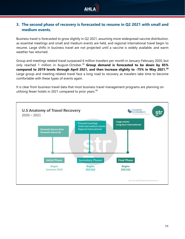

#### **3. The second phase of recovery is forecasted to resume in Q2 2021 with small and medium events.**

Business travel is forecasted to grow slightly in Q2 2021, assuming more widespread vaccine distribution, as essential meetings and small and medium events are held, and regional international travel begin to resume. Large shifts in business travel are not projected until a vaccine is widely available, and warm weather has returned.

Group and meetings related travel surpassed 6 million travelers per month in January-February 2020, but only reached 1 million in August-October.<sup>[38](#page-19-11)</sup> Group demand is forecasted to be down by 85% **compared to 2019 levels through April 2021, and then increase slightly to -75% in May 2021.[39](#page-19-12)** Large group and meeting-related travel face a long road to recovery as travelers take time to become comfortable with these types of events again.

It is clear from business travel data that most business travel management programs are planning on utilizing fewer hotels in 2021 compared to prior years. [40](#page-19-13)

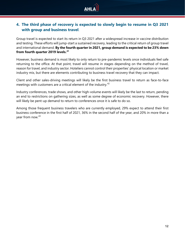

#### **4. The third phase of recovery is expected to slowly begin to resume in Q3 2021 with group and business travel**.

Group travel is expected to start its return in Q3 2021 after a widespread increase in vaccine distribution and testing. These efforts will jump-start a sustained recovery, leading to the critical return of group travel and international demand. **By the fourth quarter in 2021, group demand is expected to be 23% down from fourth quarter 2019 levels.[41](#page-19-14)**

However, business demand is most likely to only return to pre-pandemic levels once individuals feel safe returning to the office. At that point, travel will resume in stages depending on the method of travel, reason for travel, and industry sector. Hoteliers cannot control their properties' physical location or market industry mix, but there are elements contributing to business travel recovery that they can impact.

Client and other sales-driving meetings will likely be the first business travel to return as face-to-face meetings with customers are a critical element of the industry.<sup>[42](#page-19-15)</sup>

Industry conferences, trade shows, and other high-volume events will likely be the last to return, pending an end to restrictions on gathering sizes, as well as some degree of economic recovery. However, there will likely be pent-up demand to return to conferences once it is safe to do so.

Among those frequent business travelers who are currently employed, 29% expect to attend their first business conference in the first half of 2021, 36% in the second half of the year, and 20% in more than a year from now.<sup>[43](#page-19-16)</sup>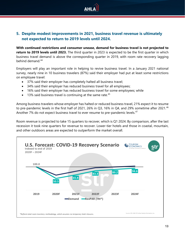

#### **5. Despite modest improvements in 2021, business travel revenue is ultimately not expected to return to 2019 levels until 2024.**

**With continued restrictions and consumer unease, demand for business travel is not projected to return to 2019 levels until 2023.** The third quarter in 2023 is expected to be the first quarter in which business travel demand is above the corresponding quarter in 2019, with room rate recovery lagging behind demand. [44](#page-19-17)

Employers will play an important role in helping to revive business travel. In a January 2021 national survey, nearly nine in 10 business travelers (87%) said their employer had put at least some restrictions on employee travel:

- 37% said their employer has completely halted all business travel;
- 34% said their employer has reduced business travel for all employees;
- 16% said their employer has reduced business travel for some employees; while
- $\bullet$  13% said business travel is continuing at the same rate.<sup>[45](#page-19-18)</sup>

Among business travelers whose employer has halted or reduced business travel, 21% expect it to resume to pre-pandemic levels in the first half of 2021, 26% in Q3, 16% in Q4, and 29% sometime after 2021.<sup>[46](#page-19-19)</sup> Another 7% do not expect business travel to ever resume to pre-pandemic levels.<sup>[47](#page-19-20)</sup>

<span id="page-12-0"></span>Room revenue is projected to take 15 quarters to recover, which is Q1 2024. By comparison, after the last recession it took nine quarters for revenue to recover. Lower-tier hotels and those in coastal, mountain, and other outdoors areas are expected to outperform the market overall.

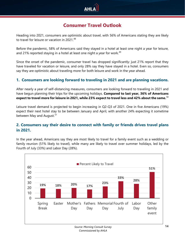

## **Consumer Travel Outlook**

Heading into 2021, consumers are optimistic about travel, with 56% of Americans stating they are likely to travel for leisure or vacation in 2021.<sup>[48](#page-19-21)</sup>

Before the pandemic, 58% of Americans said they stayed in a hotel at least one night a year for leisure, and 21% reported staying in a hotel at least one night a year for work.<sup>[49](#page-19-22)</sup>

Since the onset of the pandemic, consumer travel has dropped significantly: just 21% report that they have traveled for vacation or leisure, and only 28% say they have stayed in a hotel. Even so, consumers say they are optimistic about traveling more for both leisure and work in the year ahead.

#### **1. Consumers are looking forward to traveling in 2021 and are planning vacations.**

After nearly a year of self-distancing measures, consumers are looking forward to traveling in 2021 and have begun planning their trips for the upcoming holidays. **Compared to last year, 36% of Americans expect to travel more for leisure in 2021, while 23% expect to travel less and 42% about the same.**[50](#page-19-23)

Leisure travel demand is projected to begin increasing in Q2-Q3 of 2021. One in five Americans (19%) expect their next hotel stay to be between January and April, with another 24% expecting it sometime between May and August.<sup>[51](#page-19-24)</sup>

#### **2. Consumers say their desire to connect with family or friends drives travel plans in 2021.**

In the year ahead, Americans say they are most likely to travel for a family event such as a wedding or family reunion (51% likely to travel), while many are likely to travel over summer holidays, led by the Fourth of July (33%) and Labor Day (28%).

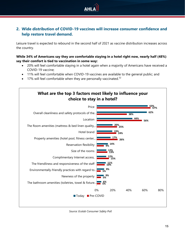

#### **2. Wide distribution of COVID-19 vaccines will increase consumer confidence and help restore travel demand.**

Leisure travel is expected to rebound in the second half of 2021 as vaccine distribution increases across the country.

**While 34% of Americans say they are comfortable staying in a hotel right now, nearly half (48%) say their comfort is tied to vaccination in some way:** 

- 20% will feel comfortable staying in a hotel again when a majority of Americans have received a COVID-19 vaccine;
- 11% will feel comfortable when COVID-19 vaccines are available to the general public; and
- 17% will feel comfortable when they are personally vaccinated. $52$



*Source: Ecolab Consumer Safety Poll*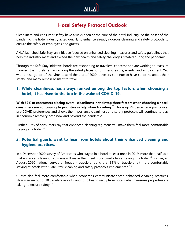

## **Hotel Safety Protocol Outlook**

<span id="page-15-0"></span>Cleanliness and consumer safety have always been at the core of the hotel industry. At the onset of the pandemic, the hotel industry acted quickly to enhance already rigorous cleaning and safety protocols to ensure the safety of employees and guests.

AHLA launched Safe Stay, an initiative focused on enhanced cleaning measures and safety guidelines that help the industry meet and exceed the new health and safety challenges created during the pandemic.

Through the Safe Stay initiative, hotels are responding to travelers' concerns and are working to reassure travelers that hotels remain among the safest places for business, leisure, events, and employment. Yet, with a resurgence of the virus toward the end of 2020, travelers continue to have concerns about their safety, and many remain hesitant to travel.

#### **1. While cleanliness has always ranked among the top factors when choosing a hotel, it has risen to the top in the wake of COVID-19.**

**With 62% of consumers placing overall cleanliness in their top three factors when choosing a hotel, consumers are continuing to prioritize safety when traveling.**[53](#page-19-26) This is up 24 percentage points over pre-COVID preferences and shows the importance cleanliness and safety protocols will continue to play in economic recovery both now and beyond the pandemic.

Further, 53% of consumers say that enhanced cleaning regimens will make them feel more comfortable staying at a hotel. [54](#page-19-27)

#### **2. Potential guests want to hear from hotels about their enhanced cleaning and hygiene practices.**

In a December 2020 survey of Americans who stayed in a hotel at least once in 2019, more than half said that enhanced cleaning regimens will make them feel more comfortable staying in a hotel.<sup>[55](#page-19-28)</sup> Further, an August 2020 national survey of frequent travelers found that 81% of travelers felt more comfortable staying at hotels with "Safe Stay" cleaning and safety protocols implemented.<sup>[56](#page-19-29)</sup>

Guests also feel more comfortable when properties communicate these enhanced cleaning practices. Nearly seven out of 10 travelers report wanting to hear directly from hotels what measures properties are taking to ensure safety.<sup>[57](#page-19-30)</sup>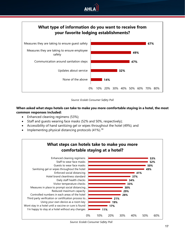





#### **When asked what steps hotels can take to make you more comfortable staying in a hotel, the most common responses included:**

- Enhanced cleaning regimens (53%);
- Staff and quests wearing face masks (52% and 50%, respectively);
- Accessibility of hand sanitizing gel or wipes throughout the hotel (49%); and
- Implementing physical distancing protocols (41%).<sup>[58](#page-19-31)</sup>

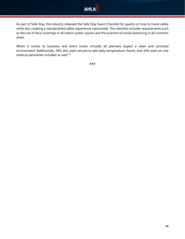

As part of Safe Stay, the industry released the Safe Stay Guest Checklist for guests on how to travel safely while also creating a standardized safety experience nationwide. The checklist includes requirements such as the use of face coverings in all indoor public spaces and the practice of social distancing in all common areas.

When it comes to business and event travel, virtually all planners expect a clean and sanitized environment. Additionally, 39% also want venues to add daily temperature checks, and 34% want on-site medical personnel included as well.<sup>[59](#page-19-32)</sup>

###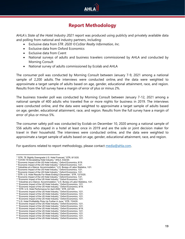

## **Report Methodology**

<span id="page-18-0"></span>AHLA's *State of the Hotel Industry 2021* report was produced using publicly and privately available data and polling from national and industry partners, including:

- Exclusive data from *STR. 2020 ©CoStar Realty Information, Inc.*
- Exclusive data from Oxford Economics
- Exclusive data from Cvent
- National surveys of adults and business travelers commissioned by AHLA and conducted by Morning Consult
- National survey of adults commissioned by Ecolab and AHLA

The consumer poll was conducted by Morning Consult between January 7-9, 2021 among a national sample of 2,200 adults. The interviews were conducted online, and the data were weighted to approximate a target sample of adults based on age, gender, educational attainment, race, and region. Results from the full survey have a margin of error of plus or minus 2%.

The business traveler poll was conducted by Morning Consult between January 7-12, 2021 among a national sample of 400 adults who traveled five or more nights for business in 2019. The interviews were conducted online, and the data were weighted to approximate a target sample of adults based on age, gender, educational attainment, race, and region. Results from the full survey have a margin of error of plus or minus 5%.

The consumer safety poll was conducted by Ecolab on December 10, 2020 among a national sample of 556 adults who stayed in a hotel at least once in 2019 and are the sole or joint decision maker for travel in their household. The interviews were conducted online, and the data were weighted to approximate a target sample of adults based on age, gender, educational attainment, race, and region.

For questions related to report methodology, please contact [media@ahla.com.](mailto:media@ahla.com)

- <sup>8</sup> "STR: U.S. Hotel Results For Week Ending 5 December," STR, 12/10/20.
- <span id="page-18-9"></span><sup>9</sup> "Economic Impact of the US Hotel Industry," Oxford Economics, 1/21.
- 

<span id="page-18-1"></span><sup>1</sup> "STR, TE Slightly Downgrade U.S. Hotel Forecast," STR, 8/13/20.

<sup>2</sup> "COVID-19 Devastating Hotel Industry," AHLA, 4/22/20.

<span id="page-18-4"></span><span id="page-18-3"></span><span id="page-18-2"></span><sup>3</sup> "Economic Impact of the US Hotel Industry," Oxford Economics, 8/19.

<sup>4</sup> "Economic Impact of the US Hotel Industry," Oxford Economics, 1/21. <sup>5</sup> "Industries at a Glance: Accommodation," U.S. Bureau of Labor Statistics, 1/21.

<span id="page-18-6"></span><span id="page-18-5"></span><sup>6</sup> "Economic Impact of the US Hotel Industry," Oxford Economics, 1/21.

<span id="page-18-8"></span><span id="page-18-7"></span><sup>&</sup>lt;sup>7</sup> "Economic Impact of the US Hotel Industry," Oxford Economics, 1/21.

<span id="page-18-10"></span><sup>&</sup>lt;sup>11</sup> "Industries at a Glance: Accommodation," U.S. Bureau of Labor Statistics, 1/21.

<span id="page-18-13"></span><span id="page-18-12"></span><span id="page-18-11"></span><sup>12</sup> "Economic Impact of the US Hotel Industry," Oxford Economics, 1/21. 13 "Economic Impact of the US Hotel Industry," Oxford Economics, 8/19.

<sup>14</sup> "STR: U.S. Hotel Performance for April 2020," STR, 4/21/20.

<span id="page-18-17"></span>

<span id="page-18-16"></span><span id="page-18-15"></span><span id="page-18-14"></span><sup>&</sup>lt;sup>15</sup> "Economic Impact of the US Hotel Industry," Oxford Economics, 1/21.<br><sup>16</sup> "Economic Impact of the US Hotel Industry," Oxford Economics, 1/21.<br><sup>16</sup> "Economic Impact of the US Hotel Industry," Oxford Economics, 1/21.<br><sup>17</sup>

<span id="page-18-19"></span><span id="page-18-18"></span>

<span id="page-18-20"></span> $^{20}$  "Economic Impact of the US Hotel Industry," Oxford Economics, 1/21.

<span id="page-18-21"></span><sup>&</sup>lt;sup>21</sup> "Economic Impact of the US Hotel Industry," Oxford Economics, 1/21.

<span id="page-18-22"></span> $22$  "Economic Impact of the US Hotel Industry," Oxford Economics, 8/19.

<span id="page-18-23"></span><sup>&</sup>lt;sup>23</sup> "Economic Impact of the US Hotel Industry," Oxford Economics, 1/21.

<span id="page-18-24"></span><sup>&</sup>lt;sup>24</sup> "Economic Impact of the US Hotel Industry," Oxford Economics, 1/21. <sup>25</sup> "Economic Impact of the US Hotel Industry," Oxford Economics, 1/21.

<span id="page-18-26"></span><span id="page-18-25"></span><sup>&</sup>lt;sup>26</sup> "Economic Impact of the US Hotel Industry," Oxford Economics, 1/21.